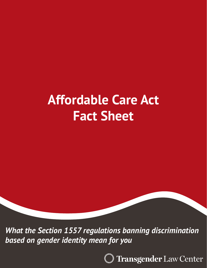# **Affordable Care Act Fact Sheet**

*What the Section 1557 regulations banning discrimination based on gender identity mean for you*

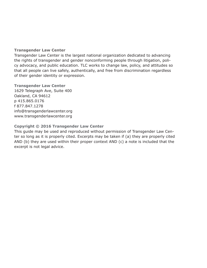#### **Transgender Law Center**

Transgender Law Center is the largest national organization dedicated to advancing the rights of transgender and gender nonconforming people through litigation, policy advocacy, and public education. TLC works to change law, policy, and attitudes so that all people can live safely, authentically, and free from discrimination regardless of their gender identity or expression.

**Transgender Law Center** 1629 Telegraph Ave, Suite 400 Oakland, CA 94612 p 415.865.0176 f 877.847.1278 info@transgenderlawcenter.org www.transgenderlawcenter.org

#### **Copyright © 2016 Transgender Law Center**

This guide may be used and reproduced without permission of Transgender Law Center so long as it is properly cited. Excerpts may be taken if (a) they are properly cited AND (b) they are used within their proper context AND (c) a note is included that the excerpt is not legal advice.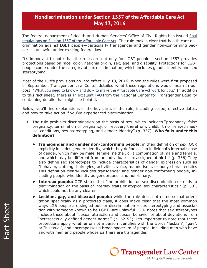## **Nondiscrimination under Section 1557 of the Affordable Care Act May 13, 2016**

The federal department of Health and Human Services' Office of Civil Rights has issued [final](https://s3.amazonaws.com/public-inspection.federalregister.gov/2016-11458.pdf) [regulations on Section 1557 of the Affordable Care Act](https://s3.amazonaws.com/public-inspection.federalregister.gov/2016-11458.pdf). The rule makes clear that health care discrimination against LGBT people—particularly transgender and gender non-conforming people—is unlawful under existing federal law.

It's important to note that the rules are not only for LGBT people – section 1557 provides protections based on race, color, national origin, sex, age, and disability. Protections for LGBT people come under the category of sex discrimination, which includes gender identity and sex stereotyping.

Most of the rule's provisions go into effect July 18, 2016. When the rules were first proposed in September, Transgender Law Center detailed what these regulations would mean in our post, "What you need to know - and do - to make the Affordable Care Act work for you." In addition to this fact sheet, there is an excellent FAO from the National Center for Transgender Equality containing details that might be helpful.

Below, you'll find explanations of the key parts of the rule, including scope, effective dates, and how to take action if you've experienced discrimination.

- 1. The rule prohibits discrimination on the basis of sex, which includes "pregnancy, false pregnancy, termination of pregnancy, or recovery therefrom, childbirth or related medical conditions, sex stereotyping, and gender identity" (p. 337). **Who falls under this definition?**
	- **• Transgender and gender non-conforming people:** in their definition of sex, OCR explicitly includes gender identity, which they define as "an individual's internal sense of gender, which may be male, female, neither, or a combination of male and female, and which may be different from an individual's sex assigned at birth." (p. 336) They also define sex stereotypes to include characteristics of gender expression such as "behavior, clothing, hairstyles, activities, voice, mannerisms, or body characteristics This definition clearly includes transgender and gender non-conforming people, including people who identify as genderqueer and non-binary.
	- **Intersex people:** OCR states that "the prohibition on sex discrimination extends to discrimination on the basis of intersex traits or atypical sex characteristics," (p. 50), which could not be any clearer.
	- **• Lesbian, gay, and bisexual people:** while the rule does not name sexual orientation specifically as a protected class, it does make clear that the most common ways LGB people are singled out for discrimination – sex stereotyping and association with someone known to be LGBT—are unlawful. OCR notes that sex stereotypes include those about "sexual attraction and sexual behavior or about deviations from 'heterosexually defined gender norms'" (p. 52-53). It's important to note that these protections apply whether or not a person identifies with the words "lesbian", "gay", or "bisexual", and encompasses a broad spectrum of people, including men who have sex with men and people whose partners are transgender.

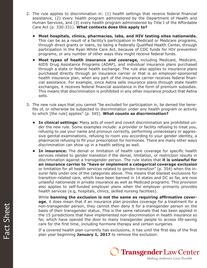- 2. The rule applies to discrimination in: (1) health settings that receive federal financial assistance, (2) every health program administered by the Department of Health and Human Services, and (3) every health program administered by Title I of the Affordable Care Act (p. 330-331). **What contexts does this apply to?**
	- **• Most hospitals, clinics, pharmacies, labs, and HIV testing sites nationwide.**  This can be as a result of a facility's participation in Medicaid or Medicare programs, through direct grants or loans, by being a Federally Qualified Health Center, through participation in the Ryan White Care Act, because of CDC funds for HIV prevention programs, or any number of other ways they might receive federal funds.
	- **• Most types of health insurance and coverage,** including Medicaid, Medicare, AIDS Drug Assistance Programs (ADAP), and individual insurance plans purchased through a state or federal health exchange. The rule also applies to insurance plans purchased directly through an insurance carrier or that is an employer-sponsored health insurance plan, when any part of the insurance carrier receives federal financial assistance. For example, since Aetna sells insurance plans through state health exchanges, it receives federal financial assistance in the form of premium subsidies. This means that discrimination is prohibited in any other insurance product that Aetna sells.
- 3. The new rule says that you cannot "be excluded for participation in, be denied the benefits of, or otherwise be subjected to discrimination under any health program or activity to which [the rule] applies" (p. 345). **What counts as discrimination?**
	- **• In clinical settings:** Many acts of overt and covert discrimination are prohibited under the new rule. Some examples include: a provider or facility refusing to treat you, refusing to use your name and pronoun correctly, performing unnecessary or aggressive genital examinations, refusing to room you according to your gender identity, a pharmacist refusing to fill your prescription for hormones. There are many other ways discrimination can show up in a health setting as well.
	- **• In insurance:** The denial or limitation of health care coverage for specific health services related to gender transition if the denial, limitation, or restriction results in discrimination against a transgender person. The rule states that **it is unlawful for an insurance carrier to "have or implement a categorical coverage exclusion** or limitation for all health services related to gender transition" (p. 354) when the insurer falls under one of the categories above. This means that blanket exclusions for transition-related care, which have been banned in 14 states and DC so far, are now unlawful nationwide in private insurance as well as Medicaid programs. This provision also applies to self-funded employer plans when the employer primarily provides health services (e.g, hospitals, clinics, skilled nursing facilities).

While **banning the exclusion is not the same as requiring affirmative coverage**, it does mean that if an insurance plan provides coverage for a treatment for a non-transgender person, they cannot then deny it for a transgender person on the basis of their transgender status. This is the same rationale that has been applied in the 15 jurisdictions that have implemented non-discrimination in health insurance so far, which have opened the door to many transgender people to access life-saving care for the first time, including hormone therapy and certain surgeries.

If a covered health plan currently has exclusions, it has until the first day of the first plan year beginning **January 1, 2017** to remove the exclusion.

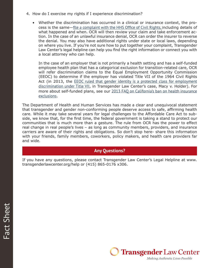- 4. How do I exercise my rights if I experience discrimination?
	- Whether the discrimination has occurred in a clinical or insurance context, the process is the same—[file a complaint with the HHS Office of Civil Rights,](https://ocrportal.hhs.gov/ocr/cp/wizard_cp.jsf) including details of what happened and when. OCR will then review your claim and take enforcement action. In the case of an unlawful insurance denial, OCR can order the insurer to reverse the denial. You may also have additional rights under state or local laws, depending on where you live. If you're not sure how to put together your complaint, Transgender Law Center's legal helpline can help you find the right information or connect you with a local attorney who can help.

In the case of an employer that is not primarily a health setting and has a self-funded employee health plan that has a categorical exclusion for transition-related care, OCR will refer discrimination claims to the Equal Employment Opportunity Commission (EEOC) to determine if the employer has violated Title VII of the 1964 Civil Rights Act (in 2013, the **EEOC** ruled that gender identity is a protected class for employment [discrimination under Title VII](http://transgenderlawcenter.org/issues/employment/eeocfa), in Transgender Law Center's case, Macy v. Holder). For more about self-funded plans, see our [2013 FAQ on California's ban on health insurance](http://transgenderlawcenter.org/archives/4273) [exclusions](http://transgenderlawcenter.org/archives/4273).

The Department of Health and Human Services has made a clear and unequivocal statement that transgender and gender non-conforming people deserve access to safe, affirming health care. While it may take several years for legal challenges to the Affordable Care Act to subside, we know that, for the first time, the federal government is taking a stand to protect our communities that is much more than a gesture. The rule from OCR has the power to effect real change in real people's lives – as long as community members, providers, and insurance carriers are aware of their rights and obligations. So don't stop here- share this information with your friends, family members, coworkers, policy makers, and health care providers far and wide.

### **Any Questions?**

If you have any questions, please contact Transgender Law Center's Legal Helpline at www. transgenderlawcenter.org/help or (415) 865-0176 x306.